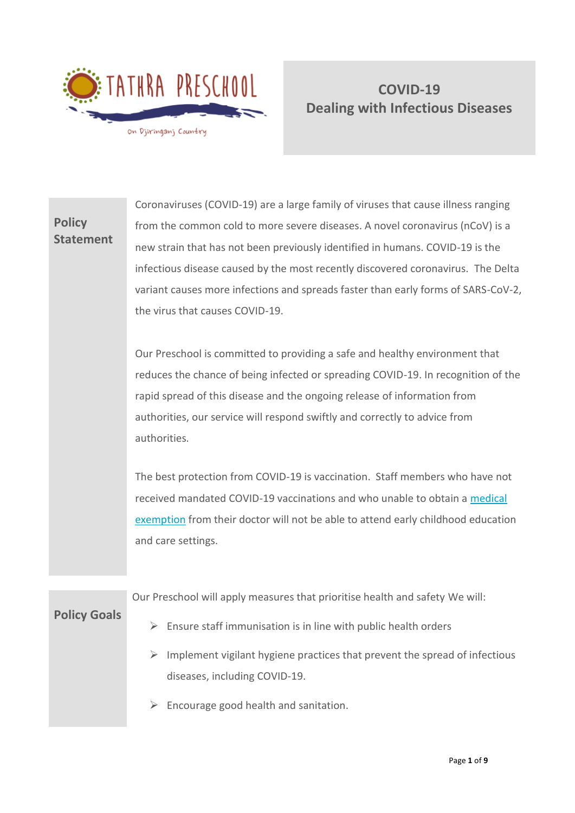

# **Policy Statement**

Coronaviruses (COVID-19) are a large family of viruses that cause illness ranging from the common cold to more severe diseases. A novel coronavirus (nCoV) is a new strain that has not been previously identified in humans. COVID-19 is the infectious disease caused by the most recently discovered coronavirus. The Delta variant causes more infections and spreads faster than early forms of SARS-CoV-2, the virus that causes COVID-19.

Our Preschool is committed to providing a safe and healthy environment that reduces the chance of being infected or spreading COVID-19. In recognition of the rapid spread of this disease and the ongoing release of information from authorities, our service will respond swiftly and correctly to advice from authorities.

The best protection from COVID-19 is vaccination. Staff members who have not received mandated COVID-19 vaccinations and who unable to obtain a [medical](https://nsw.us14.list-manage.com/track/click?u=cf0f0aa69501d26d9cb19d737&id=2d46df5100&e=86ec3b45c9)  [exemption](https://nsw.us14.list-manage.com/track/click?u=cf0f0aa69501d26d9cb19d737&id=2d46df5100&e=86ec3b45c9) from their doctor will not be able to attend early childhood education and care settings.

Our Preschool will apply measures that prioritise health and safety We will:

**Policy Goals**

- ➢ Ensure staff immunisation is in line with public health orders
- $\triangleright$  Implement vigilant hygiene practices that prevent the spread of infectious diseases, including COVID-19.
- $\triangleright$  Encourage good health and sanitation.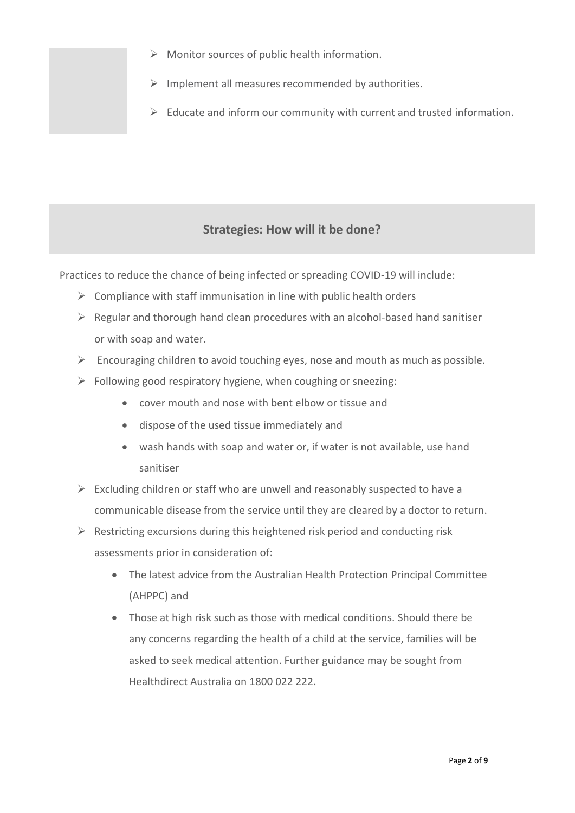- $\triangleright$  Monitor sources of public health information.
- $\triangleright$  Implement all measures recommended by authorities.
- $\triangleright$  Educate and inform our community with current and trusted information.

## **Strategies: How will it be done?**

Practices to reduce the chance of being infected or spreading COVID-19 will include:

- $\triangleright$  Compliance with staff immunisation in line with public health orders
- $\triangleright$  Regular and thorough hand clean procedures with an alcohol-based hand sanitiser or with soap and water.
- $\triangleright$  Encouraging children to avoid touching eyes, nose and mouth as much as possible.
- $\triangleright$  Following good respiratory hygiene, when coughing or sneezing:
	- cover mouth and nose with bent elbow or tissue and
	- dispose of the used tissue immediately and
	- wash hands with soap and water or, if water is not available, use hand sanitiser
- $\triangleright$  Excluding children or staff who are unwell and reasonably suspected to have a communicable disease from the service until they are cleared by a doctor to return.
- $\triangleright$  Restricting excursions during this heightened risk period and conducting risk assessments prior in consideration of:
	- The latest advice from the Australian Health Protection Principal Committee (AHPPC) and
	- Those at high risk such as those with medical conditions. Should there be any concerns regarding the health of a child at the service, families will be asked to seek medical attention. Further guidance may be sought from Healthdirect Australia on 1800 022 222.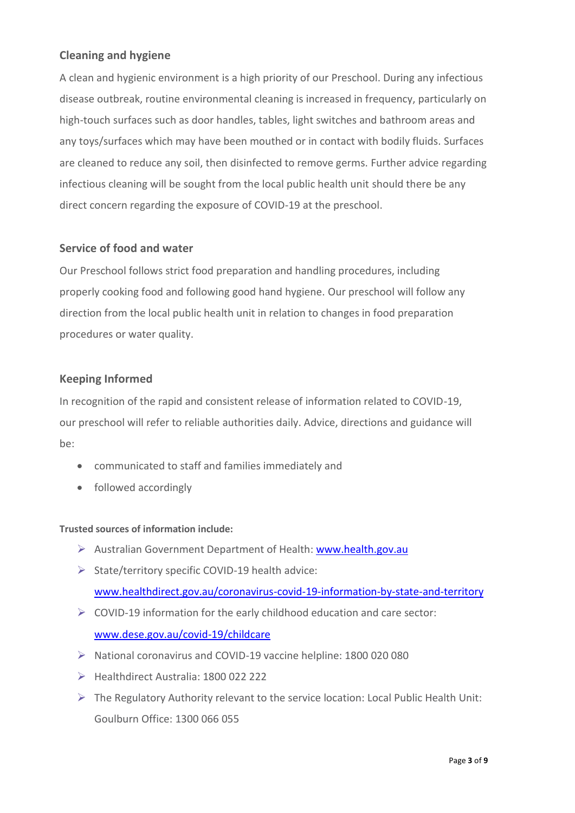## **Cleaning and hygiene**

A clean and hygienic environment is a high priority of our Preschool. During any infectious disease outbreak, routine environmental cleaning is increased in frequency, particularly on high-touch surfaces such as door handles, tables, light switches and bathroom areas and any toys/surfaces which may have been mouthed or in contact with bodily fluids. Surfaces are cleaned to reduce any soil, then disinfected to remove germs. Further advice regarding infectious cleaning will be sought from the local public health unit should there be any direct concern regarding the exposure of COVID-19 at the preschool.

### **Service of food and water**

Our Preschool follows strict food preparation and handling procedures, including properly cooking food and following good hand hygiene. Our preschool will follow any direction from the local public health unit in relation to changes in food preparation procedures or water quality.

### **Keeping Informed**

In recognition of the rapid and consistent release of information related to COVID-19, our preschool will refer to reliable authorities daily. Advice, directions and guidance will be:

- communicated to staff and families immediately and
- followed accordingly

#### **Trusted sources of information include:**

- ➢ Australian Government Department of Health: [www.health.gov.au](http://www.health.gov.au/)
- ➢ State/territory specific COVID-19 health advice:

[www.healthdirect.gov.au/coronavirus-covid-19-information-by-state-and-territory](http://www.healthdirect.gov.au/coronavirus-covid-19-information-by-state-and-territory)

- ➢ COVID-19 information for the early childhood education and care sector: [www.dese.gov.au/covid-19/childcare](http://www.dese.gov.au/covid-19/childcare)
- ➢ National coronavirus and COVID-19 vaccine helpline: 1800 020 080
- ➢ Healthdirect Australia: 1800 022 222
- $\triangleright$  The Regulatory Authority relevant to the service location: Local Public Health Unit: Goulburn Office: 1300 066 055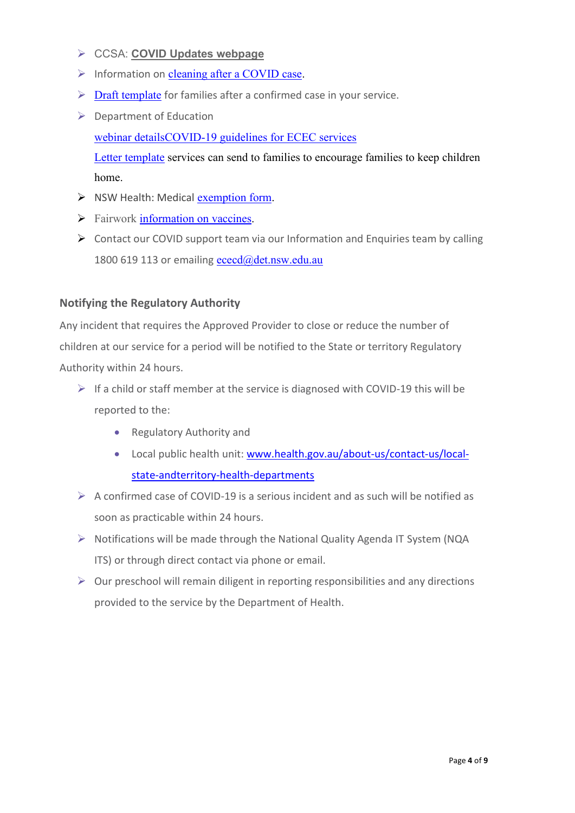- ➢ CCSA: **[COVID Updates webpage](https://office.ccsa.org.au/e2t/tc/VWhW5w1WgWq-W3KzYpq1vYDx0W6D6W6y4wzBFZN6fpSW13lHNGV1-WJV7CgWlLW8RQhC-88DtW1V81Ww27XTPs_W6v0ywT8B_DhsW1QnSNl1ws0bzW8XN8MY3w3sFSW2-RwXM5L-qwnW8ShgKQ7yNWqNW6W4JcR1rx4zxW6byBGq8q2-2TW83cFPX7SsrGFW3CWY3f67myTdW6MX_cH1Vc-lYW8Pg45J5ctPHRW5_CwPy8X47YXN7mqnnXXYNV9VySqvD6PcPJFW4fmX5L5vY999W7RX2lM7MjbHGW986HkP4hJRYnW22qTy_1JKRNCVv0lh14mKLhCW5dWRfH3ffF433n1j1)**
- ➢ Information on [cleaning after a COVID case.](https://clicks.eventbrite.com/f/a/2P7CEKt3SuQqapXmqlquKA~~/AAQxAQA~/RgRjDuSUP0SFaHR0cHM6Ly93d3cubnN3Lmdvdi5hdS9jb3ZpZC0xOS9nZXR0aW5nLWJhY2stdG8td29yay1hLWNvdmlkLXNhZmUtd2F5L2d1aWRhbmNlLWZvci1idXNpbmVzc2VzLWxpbmtlZC1jb3ZpZC0xOS1jYXNlcyNjbGVhbmluZy1ndWlkYW5jZVcDc3BjQgphLBSxLWHnQ1-pUhlzaGF1bmEuZmF5ZXJzQGNjc2Eub3JnLmF1WAQAAAAA)
- $\triangleright$  [Draft template](https://clicks.eventbrite.com/f/a/u-5aRAE1fpAQ2NXh6z9njQ~~/AAQxAQA~/RgRjDuSUP0RvaHR0cHM6Ly9lZHVjYXRpb24ubnN3Lmdvdi5hdS9lYXJseS1jaGlsZGhvb2QtZWR1Y2F0aW9uL2Nvcm9uYXZpcnVzL2FkdmljZS1mb3Itc2VydmljZXMtYW5kLXByb3ZpZGVycyNNYW5hZ2luZzI0VwNzcGNCCmEsFLEtYedDX6lSGXNoYXVuYS5mYXllcnNAY2NzYS5vcmcuYXVYBAAAAAA~) for families after a confirmed case in your service.
- ➢ Department of Education

webinar detail[sCOVID-19 guidelines for ECEC services](https://clicks.eventbrite.com/f/a/W9W2sg2HVbGXcYdaGGuxVA~~/AAQxAQA~/RgRjDuSUP0RkaHR0cHM6Ly9lZHVjYXRpb24ubnN3Lmdvdi5hdS9lYXJseS1jaGlsZGhvb2QtZWR1Y2F0aW9uL2Nvcm9uYXZpcnVzL2FkdmljZS1mb3Itc2VydmljZXMtYW5kLXByb3ZpZGVyc1cDc3BjQgphLBSxLWHnQ1-pUhlzaGF1bmEuZmF5ZXJzQGNjc2Eub3JnLmF1WAQAAAAA)

[Letter template](https://clicks.eventbrite.com/f/a/3LlnYnn_D0DPBJERjCAy3Q~~/AAQxAQA~/RgRjDuSUP0Q2aHR0cHM6Ly9tYWlsY2hpLm1wL2U1NzU4ODhlOTk5MS9jb3ZpZC0xOS11cGRhdGUtMzcyMjcyVwNzcGNCCmEsFLEtYedDX6lSGXNoYXVuYS5mYXllcnNAY2NzYS5vcmcuYXVYBAAAAAA~) services can send to families to encourage families to keep children home.

- ➢ NSW Health: Medical [exemption form.](https://clicks.eventbrite.com/f/a/tBwuXwRbwrFIKgX4qfyeAQ~~/AAQxAQA~/RgRjDuSUP0RgaHR0cHM6Ly93d3cuaGVhbHRoLm5zdy5nb3YuYXUvSW5mZWN0aW91cy9jb3ZpZC0xOS92YWNjaW5lL1BhZ2VzL2NsaW5pY2lhbnMuYXNweCNjb250cmFpbmRpY2F0aW9uVwNzcGNCCmEsFLEtYedDX6lSGXNoYXVuYS5mYXllcnNAY2NzYS5vcmcuYXVYBAAAAAA~)
- ➢ Fairwork [information on vaccines.](https://clicks.eventbrite.com/f/a/8Mc_bxX2tLfP-tjWytDsug~~/AAQxAQA~/RgRjDuSUP0R1aHR0cHM6Ly9jb3JvbmF2aXJ1cy5mYWlyd29yay5nb3YuYXUvY29yb25hdmlydXMtYW5kLWF1c3RyYWxpYW4td29ya3BsYWNlLWxhd3MvY292aWQtMTktdmFjY2luYXRpb25zLWFuZC10aGUtd29ya3BsYWNlVwNzcGNCCmEsFLEtYedDX6lSGXNoYXVuYS5mYXllcnNAY2NzYS5vcmcuYXVYBAAAAAA~)
- ➢ Contact our COVID support team via our Information and Enquiries team by calling 1800 619 113 or emailing  $\frac{\text{e} \cdot \text{e} \cdot \text{e} \cdot \text{e} \cdot \text{e} \cdot \text{e} \cdot \text{e} \cdot \text{e} \cdot \text{e} \cdot \text{e} \cdot \text{e} \cdot \text{e} \cdot \text{e} \cdot \text{e} \cdot \text{e} \cdot \text{e} \cdot \text{e} \cdot \text{e} \cdot \text{e} \cdot \text{e} \cdot \text{e} \cdot \text{e} \cdot \text{e} \cdot \text{e} \cdot \text{e} \cdot \text{e} \cdot \text{e} \cdot \text{e$

### **Notifying the Regulatory Authority**

Any incident that requires the Approved Provider to close or reduce the number of children at our service for a period will be notified to the State or territory Regulatory Authority within 24 hours.

- $\triangleright$  If a child or staff member at the service is diagnosed with COVID-19 this will be reported to the:
	- Regulatory Authority and
	- Local public health unit: [www.health.gov.au/about-us/contact-us/local](http://www.health.gov.au/about-us/contact-us/local-state-andterritory-health-departments)[state-andterritory-health-departments](http://www.health.gov.au/about-us/contact-us/local-state-andterritory-health-departments)
- $\triangleright$  A confirmed case of COVID-19 is a serious incident and as such will be notified as soon as practicable within 24 hours.
- ➢ Notifications will be made through the National Quality Agenda IT System (NQA ITS) or through direct contact via phone or email.
- $\triangleright$  Our preschool will remain diligent in reporting responsibilities and any directions provided to the service by the Department of Health.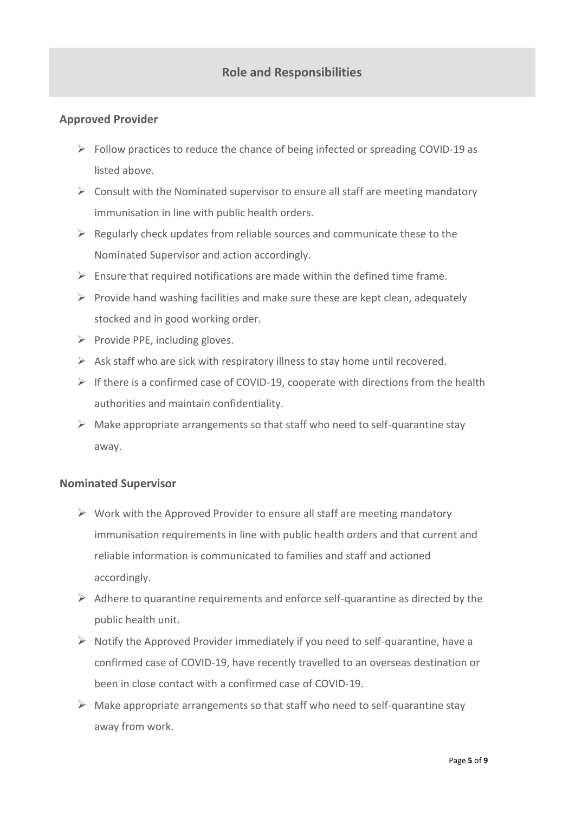## **Role and Responsibilities**

### **Approved Provider**

- $\triangleright$  Follow practices to reduce the chance of being infected or spreading COVID-19 as listed above.
- $\triangleright$  Consult with the Nominated supervisor to ensure all staff are meeting mandatory immunisation in line with public health orders.
- $\triangleright$  Regularly check updates from reliable sources and communicate these to the Nominated Supervisor and action accordingly.
- $\triangleright$  Ensure that required notifications are made within the defined time frame.
- $\triangleright$  Provide hand washing facilities and make sure these are kept clean, adequately stocked and in good working order.
- $\triangleright$  Provide PPE, including gloves.
- $\triangleright$  Ask staff who are sick with respiratory illness to stay home until recovered.
- $\triangleright$  If there is a confirmed case of COVID-19, cooperate with directions from the health authorities and maintain confidentiality.
- $\triangleright$  Make appropriate arrangements so that staff who need to self-quarantine stay away.

### **Nominated Supervisor**

- $\triangleright$  Work with the Approved Provider to ensure all staff are meeting mandatory immunisation requirements in line with public health orders and that current and reliable information is communicated to families and staff and actioned accordingly.
- $\triangleright$  Adhere to quarantine requirements and enforce self-quarantine as directed by the public health unit.
- $\triangleright$  Notify the Approved Provider immediately if you need to self-quarantine, have a confirmed case of COVID-19, have recently travelled to an overseas destination or been in close contact with a confirmed case of COVID-19.
- $\triangleright$  Make appropriate arrangements so that staff who need to self-quarantine stay away from work.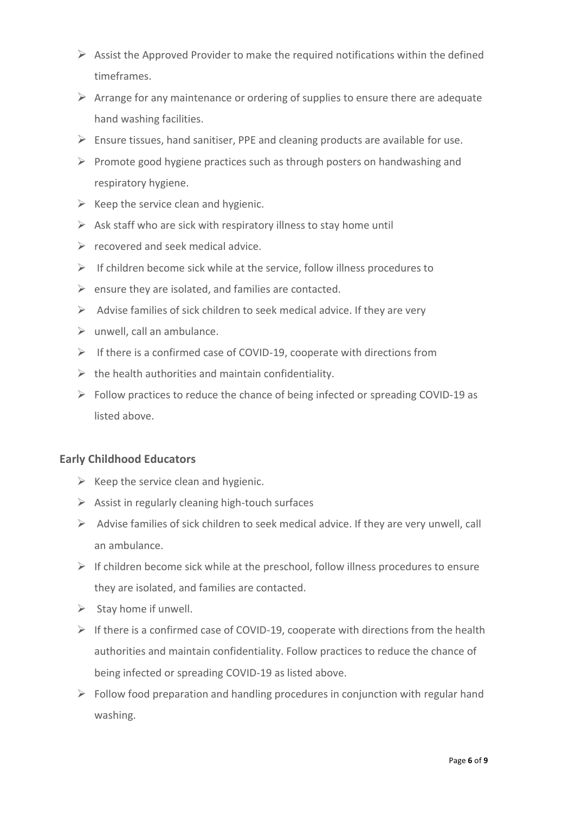- $\triangleright$  Assist the Approved Provider to make the required notifications within the defined timeframes.
- $\triangleright$  Arrange for any maintenance or ordering of supplies to ensure there are adequate hand washing facilities.
- $\triangleright$  Ensure tissues, hand sanitiser, PPE and cleaning products are available for use.
- ➢ Promote good hygiene practices such as through posters on handwashing and respiratory hygiene.
- $\triangleright$  Keep the service clean and hygienic.
- $\triangleright$  Ask staff who are sick with respiratory illness to stay home until
- $\triangleright$  recovered and seek medical advice.
- $\triangleright$  If children become sick while at the service, follow illness procedures to
- $\triangleright$  ensure they are isolated, and families are contacted.
- $\triangleright$  Advise families of sick children to seek medical advice. If they are very
- $\triangleright$  unwell, call an ambulance.
- ➢ If there is a confirmed case of COVID-19, cooperate with directions from
- $\triangleright$  the health authorities and maintain confidentiality.
- ➢ Follow practices to reduce the chance of being infected or spreading COVID-19 as listed above.

### **Early Childhood Educators**

- $\triangleright$  Keep the service clean and hygienic.
- $\triangleright$  Assist in regularly cleaning high-touch surfaces
- ➢ Advise families of sick children to seek medical advice. If they are very unwell, call an ambulance.
- $\triangleright$  If children become sick while at the preschool, follow illness procedures to ensure they are isolated, and families are contacted.
- $\triangleright$  Stay home if unwell.
- $\triangleright$  If there is a confirmed case of COVID-19, cooperate with directions from the health authorities and maintain confidentiality. Follow practices to reduce the chance of being infected or spreading COVID-19 as listed above.
- $\triangleright$  Follow food preparation and handling procedures in conjunction with regular hand washing.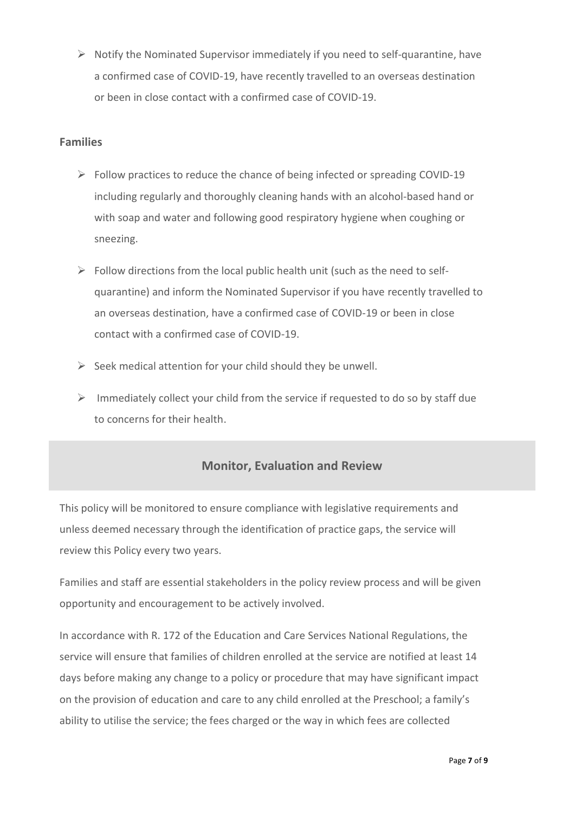$\triangleright$  Notify the Nominated Supervisor immediately if you need to self-quarantine, have a confirmed case of COVID-19, have recently travelled to an overseas destination or been in close contact with a confirmed case of COVID-19.

### **Families**

- ➢ Follow practices to reduce the chance of being infected or spreading COVID-19 including regularly and thoroughly cleaning hands with an alcohol-based hand or with soap and water and following good respiratory hygiene when coughing or sneezing.
- $\triangleright$  Follow directions from the local public health unit (such as the need to selfquarantine) and inform the Nominated Supervisor if you have recently travelled to an overseas destination, have a confirmed case of COVID-19 or been in close contact with a confirmed case of COVID-19.
- $\triangleright$  Seek medical attention for your child should they be unwell.
- $\triangleright$  Immediately collect your child from the service if requested to do so by staff due to concerns for their health.

## **Monitor, Evaluation and Review**

This policy will be monitored to ensure compliance with legislative requirements and unless deemed necessary through the identification of practice gaps, the service will review this Policy every two years.

Families and staff are essential stakeholders in the policy review process and will be given opportunity and encouragement to be actively involved.

In accordance with R. 172 of the Education and Care Services National Regulations, the service will ensure that families of children enrolled at the service are notified at least 14 days before making any change to a policy or procedure that may have significant impact on the provision of education and care to any child enrolled at the Preschool; a family's ability to utilise the service; the fees charged or the way in which fees are collected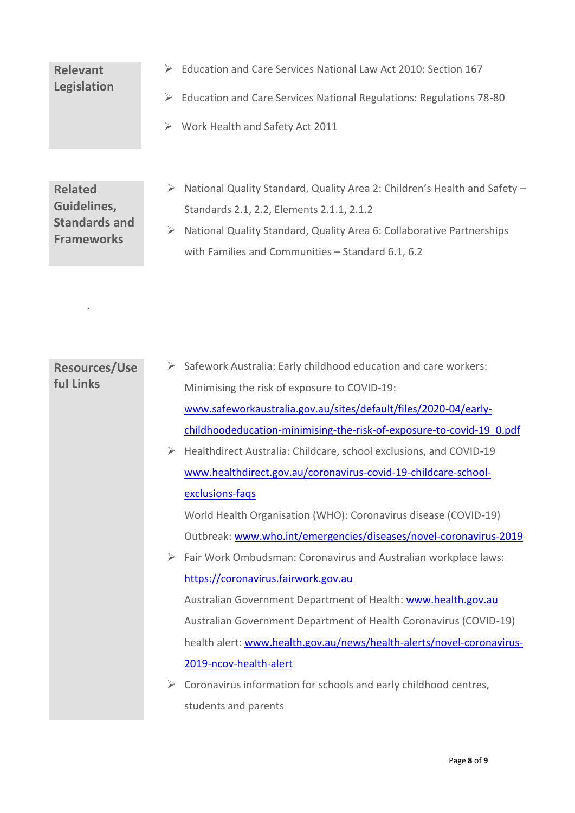# **Relevant Legislation**

- ➢ Education and Care Services National Law Act 2010: Section 167
- ➢ Education and Care Services National Regulations: Regulations 78-80
- ➢ Work Health and Safety Act 2011

**Related Guidelines, Standards and Frameworks** 

.

- ➢ National Quality Standard, Quality Area 2: Children's Health and Safety Standards 2.1, 2.2, Elements 2.1.1, 2.1.2
- ➢ National Quality Standard, Quality Area 6: Collaborative Partnerships with Families and Communities – Standard 6.1, 6.2

| <b>Resources/Use</b> |                  | Safework Australia: Early childhood education and care workers:       |
|----------------------|------------------|-----------------------------------------------------------------------|
| <b>ful Links</b>     |                  | Minimising the risk of exposure to COVID-19:                          |
|                      |                  | www.safeworkaustralia.gov.au/sites/default/files/2020-04/early-       |
|                      |                  | childhoodeducation-minimising-the-risk-of-exposure-to-covid-19 0.pdf  |
|                      | ➤                | Healthdirect Australia: Childcare, school exclusions, and COVID-19    |
|                      |                  | www.healthdirect.gov.au/coronavirus-covid-19-childcare-school-        |
|                      |                  | exclusions-faqs                                                       |
|                      |                  | World Health Organisation (WHO): Coronavirus disease (COVID-19)       |
|                      |                  | Outbreak: www.who.int/emergencies/diseases/novel-coronavirus-2019     |
|                      | $\triangleright$ | Fair Work Ombudsman: Coronavirus and Australian workplace laws:       |
|                      |                  | https://coronavirus.fairwork.gov.au                                   |
|                      |                  | Australian Government Department of Health: www.health.gov.au         |
|                      |                  | Australian Government Department of Health Coronavirus (COVID-19)     |
|                      |                  | health alert: www.health.gov.au/news/health-alerts/novel-coronavirus- |
|                      |                  | 2019-ncov-health-alert                                                |
|                      | ➤                | Coronavirus information for schools and early childhood centres,      |
|                      |                  | students and parents                                                  |